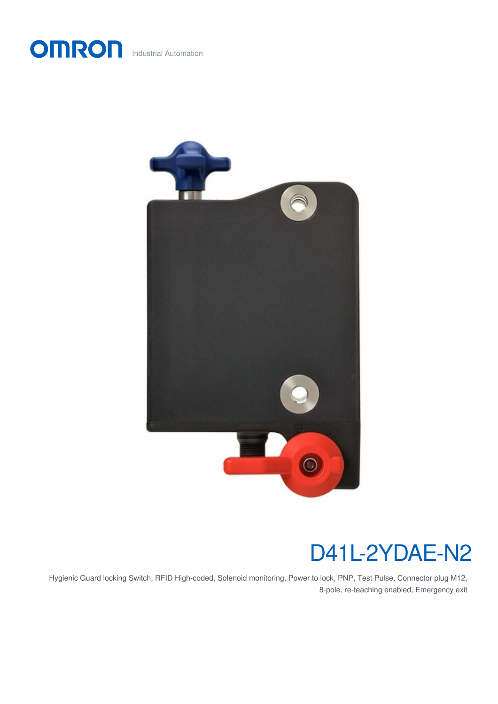



# D41L-2YDAE-N2

Hygienic Guard locking Switch, RFID High-coded, Solenoid monitoring, Power to lock, PNP, Test Pulse, Connector plug M12, 8-pole, re-teaching enabled, Emergency exit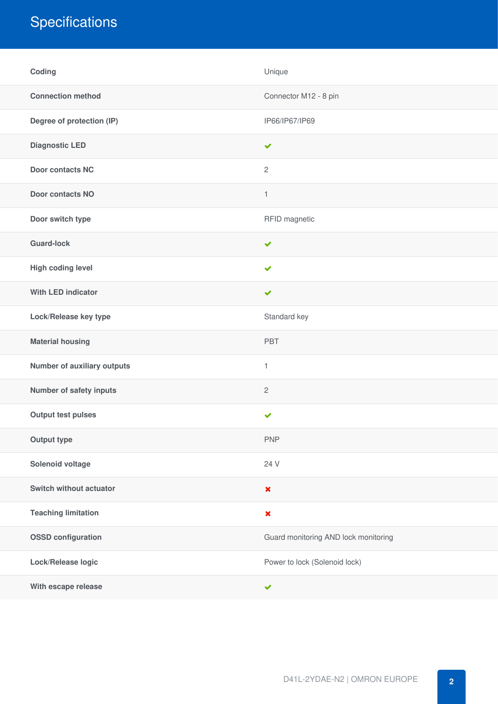## **Specifications**

| Coding                      | Unique                               |
|-----------------------------|--------------------------------------|
| <b>Connection method</b>    | Connector M12 - 8 pin                |
| Degree of protection (IP)   | IP66/IP67/IP69                       |
| <b>Diagnostic LED</b>       | $\checkmark$                         |
| <b>Door contacts NC</b>     | $\overline{c}$                       |
| <b>Door contacts NO</b>     | $\mathbf{1}$                         |
| Door switch type            | RFID magnetic                        |
| <b>Guard-lock</b>           | $\checkmark$                         |
| High coding level           | $\checkmark$                         |
| <b>With LED indicator</b>   | ✔                                    |
| Lock/Release key type       | Standard key                         |
| <b>Material housing</b>     | PBT                                  |
| Number of auxiliary outputs | $\mathbf{1}$                         |
| Number of safety inputs     | $\mathbf{2}$                         |
| <b>Output test pulses</b>   | $\checkmark$                         |
| <b>Output type</b>          | <b>PNP</b>                           |
| Solenoid voltage            | 24 V                                 |
| Switch without actuator     | $\pmb{\times}$                       |
| <b>Teaching limitation</b>  | $\pmb{\times}$                       |
| <b>OSSD</b> configuration   | Guard monitoring AND lock monitoring |
| Lock/Release logic          | Power to lock (Solenoid lock)        |
| With escape release         | $\checkmark$                         |